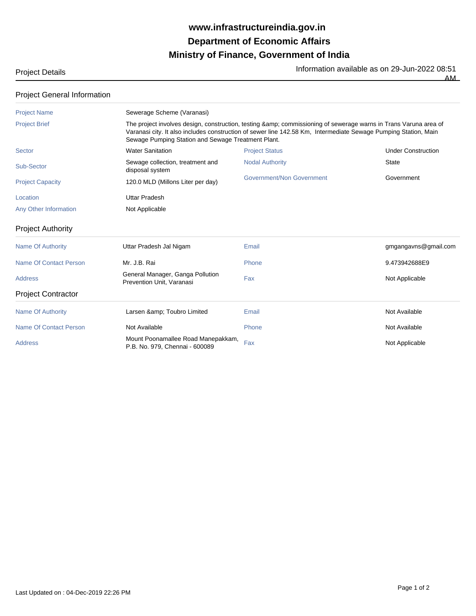## **Ministry of Finance, Government of India Department of Economic Affairs www.infrastructureindia.gov.in**

Project Details **Information available as on 29-Jun-2022** 08:51  $\overline{AM}$ 

| <b>Project General Information</b> |  |
|------------------------------------|--|
|------------------------------------|--|

| <b>Project Name</b>       | Sewerage Scheme (Varanasi)                                           |                                                                                                                                                                                                                                                                                       |                           |  |  |
|---------------------------|----------------------------------------------------------------------|---------------------------------------------------------------------------------------------------------------------------------------------------------------------------------------------------------------------------------------------------------------------------------------|---------------------------|--|--|
| <b>Project Brief</b>      |                                                                      | The project involves design, construction, testing & commissioning of sewerage warns in Trans Varuna area of<br>Varanasi city. It also includes construction of sewer line 142.58 Km, Intermediate Sewage Pumping Station, Main<br>Sewage Pumping Station and Sewage Treatment Plant. |                           |  |  |
| Sector                    | <b>Water Sanitation</b>                                              | <b>Project Status</b>                                                                                                                                                                                                                                                                 | <b>Under Construction</b> |  |  |
| Sub-Sector                | Sewage collection, treatment and<br>disposal system                  | <b>Nodal Authority</b>                                                                                                                                                                                                                                                                | <b>State</b>              |  |  |
| <b>Project Capacity</b>   | 120.0 MLD (Millons Liter per day)                                    | Government/Non Government                                                                                                                                                                                                                                                             | Government                |  |  |
| Location                  | <b>Uttar Pradesh</b>                                                 |                                                                                                                                                                                                                                                                                       |                           |  |  |
| Any Other Information     | Not Applicable                                                       |                                                                                                                                                                                                                                                                                       |                           |  |  |
| <b>Project Authority</b>  |                                                                      |                                                                                                                                                                                                                                                                                       |                           |  |  |
| <b>Name Of Authority</b>  | Uttar Pradesh Jal Nigam                                              | Email                                                                                                                                                                                                                                                                                 | gmgangavns@gmail.com      |  |  |
| Name Of Contact Person    | Mr. J.B. Rai                                                         | Phone                                                                                                                                                                                                                                                                                 | 9.473942688E9             |  |  |
| <b>Address</b>            | General Manager, Ganga Pollution<br>Prevention Unit, Varanasi        | Fax                                                                                                                                                                                                                                                                                   | Not Applicable            |  |  |
| <b>Project Contractor</b> |                                                                      |                                                                                                                                                                                                                                                                                       |                           |  |  |
| <b>Name Of Authority</b>  | Larsen & Toubro Limited                                              | Email                                                                                                                                                                                                                                                                                 | Not Available             |  |  |
| Name Of Contact Person    | Not Available                                                        | Phone                                                                                                                                                                                                                                                                                 | Not Available             |  |  |
| <b>Address</b>            | Mount Poonamallee Road Manepakkam,<br>P.B. No. 979, Chennai - 600089 | Fax                                                                                                                                                                                                                                                                                   | Not Applicable            |  |  |